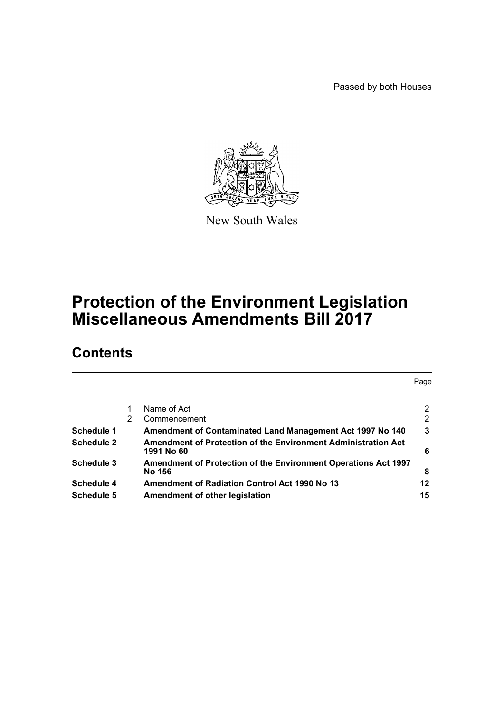Passed by both Houses



New South Wales

# **Protection of the Environment Legislation Miscellaneous Amendments Bill 2017**

# **Contents**

|                   |   |                                                                                 | Page |
|-------------------|---|---------------------------------------------------------------------------------|------|
|                   |   | Name of Act                                                                     | 2    |
|                   | 2 | Commencement                                                                    | 2    |
| Schedule 1        |   | Amendment of Contaminated Land Management Act 1997 No 140                       | 3    |
| Schedule 2        |   | Amendment of Protection of the Environment Administration Act<br>1991 No 60     | 6    |
| Schedule 3        |   | <b>Amendment of Protection of the Environment Operations Act 1997</b><br>No 156 | 8    |
| Schedule 4        |   | <b>Amendment of Radiation Control Act 1990 No 13</b>                            | 12   |
| <b>Schedule 5</b> |   | Amendment of other legislation                                                  | 15   |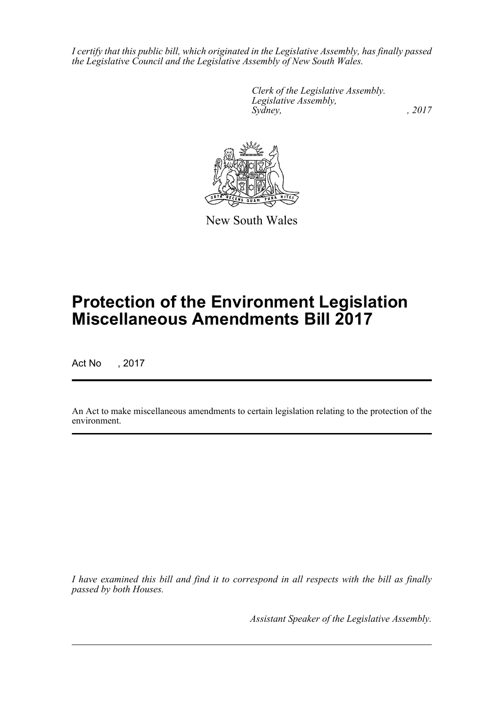*I certify that this public bill, which originated in the Legislative Assembly, has finally passed the Legislative Council and the Legislative Assembly of New South Wales.*

> *Clerk of the Legislative Assembly. Legislative Assembly, Sydney,* , 2017



New South Wales

# **Protection of the Environment Legislation Miscellaneous Amendments Bill 2017**

Act No , 2017

An Act to make miscellaneous amendments to certain legislation relating to the protection of the environment.

*I have examined this bill and find it to correspond in all respects with the bill as finally passed by both Houses.*

*Assistant Speaker of the Legislative Assembly.*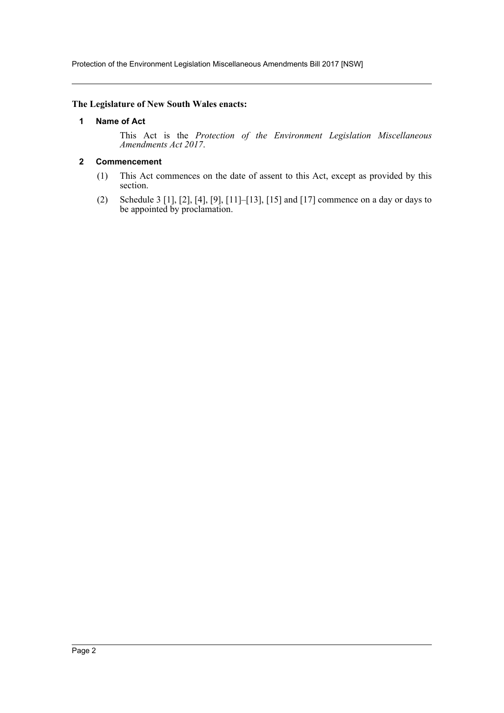Protection of the Environment Legislation Miscellaneous Amendments Bill 2017 [NSW]

#### <span id="page-2-0"></span>**The Legislature of New South Wales enacts:**

#### **1 Name of Act**

This Act is the *Protection of the Environment Legislation Miscellaneous Amendments Act 2017*.

### <span id="page-2-1"></span>**2 Commencement**

- (1) This Act commences on the date of assent to this Act, except as provided by this section.
- (2) Schedule 3 [1], [2], [4], [9], [11]–[13], [15] and [17] commence on a day or days to be appointed by proclamation.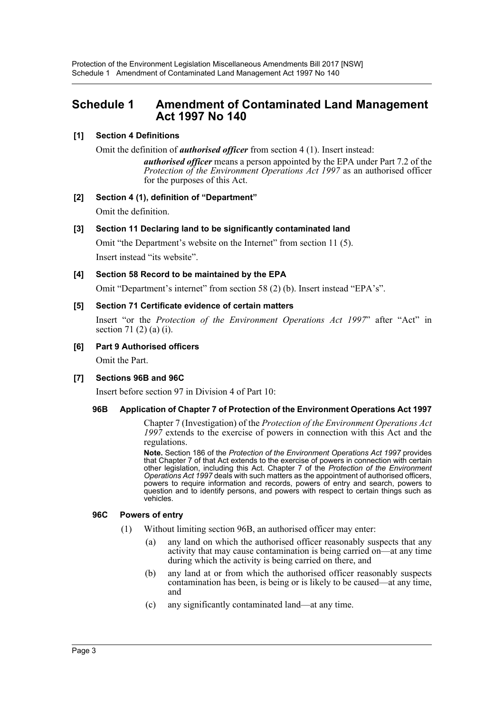# <span id="page-3-0"></span>**Schedule 1 Amendment of Contaminated Land Management Act 1997 No 140**

# **[1] Section 4 Definitions**

Omit the definition of *authorised officer* from section 4 (1). Insert instead:

*authorised officer* means a person appointed by the EPA under Part 7.2 of the *Protection of the Environment Operations Act 1997* as an authorised officer for the purposes of this Act.

# **[2] Section 4 (1), definition of "Department"**

Omit the definition.

# **[3] Section 11 Declaring land to be significantly contaminated land**

Omit "the Department's website on the Internet" from section 11 (5). Insert instead "its website".

# **[4] Section 58 Record to be maintained by the EPA**

Omit "Department's internet" from section 58 (2) (b). Insert instead "EPA's".

#### **[5] Section 71 Certificate evidence of certain matters**

Insert "or the *Protection of the Environment Operations Act 1997*" after "Act" in section 71 (2) (a) (i).

#### **[6] Part 9 Authorised officers**

Omit the Part.

# **[7] Sections 96B and 96C**

Insert before section 97 in Division 4 of Part 10:

#### **96B Application of Chapter 7 of Protection of the Environment Operations Act 1997**

Chapter 7 (Investigation) of the *Protection of the Environment Operations Act 1997* extends to the exercise of powers in connection with this Act and the regulations.

**Note.** Section 186 of the *Protection of the Environment Operations Act 1997* provides that Chapter 7 of that Act extends to the exercise of powers in connection with certain other legislation, including this Act. Chapter 7 of the *Protection of the Environment Operations Act 1997* deals with such matters as the appointment of authorised officers, powers to require information and records, powers of entry and search, powers to question and to identify persons, and powers with respect to certain things such as vehicles.

#### **96C Powers of entry**

- (1) Without limiting section 96B, an authorised officer may enter:
	- (a) any land on which the authorised officer reasonably suspects that any activity that may cause contamination is being carried on—at any time during which the activity is being carried on there, and
	- (b) any land at or from which the authorised officer reasonably suspects contamination has been, is being or is likely to be caused—at any time, and
	- (c) any significantly contaminated land—at any time.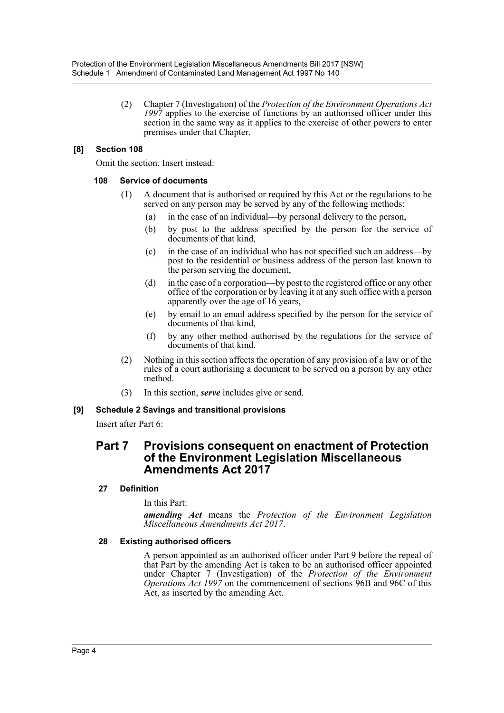(2) Chapter 7 (Investigation) of the *Protection of the Environment Operations Act 1997* applies to the exercise of functions by an authorised officer under this section in the same way as it applies to the exercise of other powers to enter premises under that Chapter.

# **[8] Section 108**

Omit the section. Insert instead:

#### **108 Service of documents**

- (1) A document that is authorised or required by this Act or the regulations to be served on any person may be served by any of the following methods:
	- (a) in the case of an individual—by personal delivery to the person,
	- (b) by post to the address specified by the person for the service of documents of that kind,
	- (c) in the case of an individual who has not specified such an address—by post to the residential or business address of the person last known to the person serving the document,
	- (d) in the case of a corporation—by post to the registered office or any other office of the corporation or by leaving it at any such office with a person apparently over the age of 16 years,
	- (e) by email to an email address specified by the person for the service of documents of that kind,
	- (f) by any other method authorised by the regulations for the service of documents of that kind.
- (2) Nothing in this section affects the operation of any provision of a law or of the rules of a court authorising a document to be served on a person by any other method.
- (3) In this section, *serve* includes give or send.

# **[9] Schedule 2 Savings and transitional provisions**

Insert after Part 6:

# **Part 7 Provisions consequent on enactment of Protection of the Environment Legislation Miscellaneous Amendments Act 2017**

# **27 Definition**

In this Part:

*amending Act* means the *Protection of the Environment Legislation Miscellaneous Amendments Act 2017*.

# **28 Existing authorised officers**

A person appointed as an authorised officer under Part 9 before the repeal of that Part by the amending Act is taken to be an authorised officer appointed under Chapter 7 (Investigation) of the *Protection of the Environment Operations Act 1997* on the commencement of sections 96B and 96C of this Act, as inserted by the amending Act.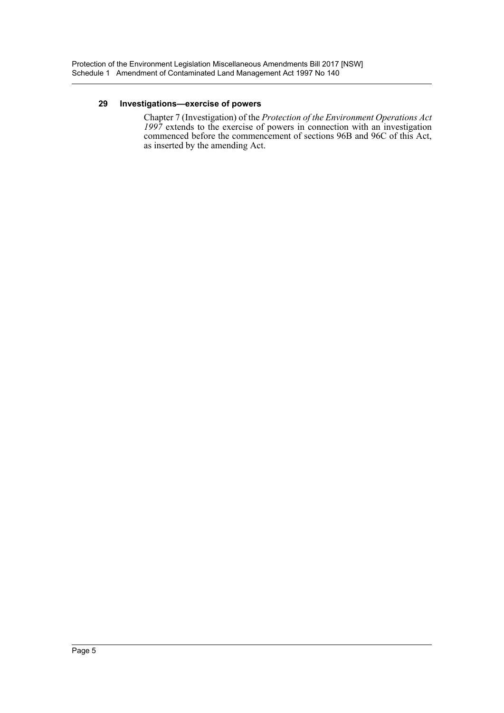#### **29 Investigations—exercise of powers**

Chapter 7 (Investigation) of the *Protection of the Environment Operations Act 1997* extends to the exercise of powers in connection with an investigation commenced before the commencement of sections 96B and 96C of this Act, as inserted by the amending Act.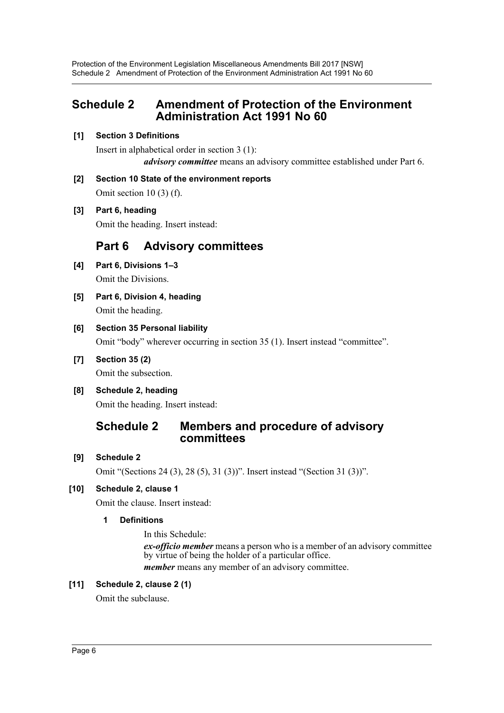# <span id="page-6-0"></span>**Schedule 2 Amendment of Protection of the Environment Administration Act 1991 No 60**

# **[1] Section 3 Definitions**

Insert in alphabetical order in section 3 (1): *advisory committee* means an advisory committee established under Part 6.

# **[2] Section 10 State of the environment reports**

Omit section  $10(3)$  (f).

# **[3] Part 6, heading**

Omit the heading. Insert instead:

# **Part 6 Advisory committees**

- **[4] Part 6, Divisions 1–3** Omit the Divisions.
- **[5] Part 6, Division 4, heading** Omit the heading.

# **[6] Section 35 Personal liability**

Omit "body" wherever occurring in section 35 (1). Insert instead "committee".

- **[7] Section 35 (2)** Omit the subsection.
- **[8] Schedule 2, heading** Omit the heading. Insert instead:

# **Schedule 2 Members and procedure of advisory committees**

# **[9] Schedule 2**

Omit "(Sections 24 (3), 28 (5), 31 (3))". Insert instead "(Section 31 (3))".

# **[10] Schedule 2, clause 1**

Omit the clause. Insert instead:

# **1 Definitions**

In this Schedule:

*ex-officio member* means a person who is a member of an advisory committee by virtue of being the holder of a particular office. *member* means any member of an advisory committee.

# **[11] Schedule 2, clause 2 (1)**

Omit the subclause.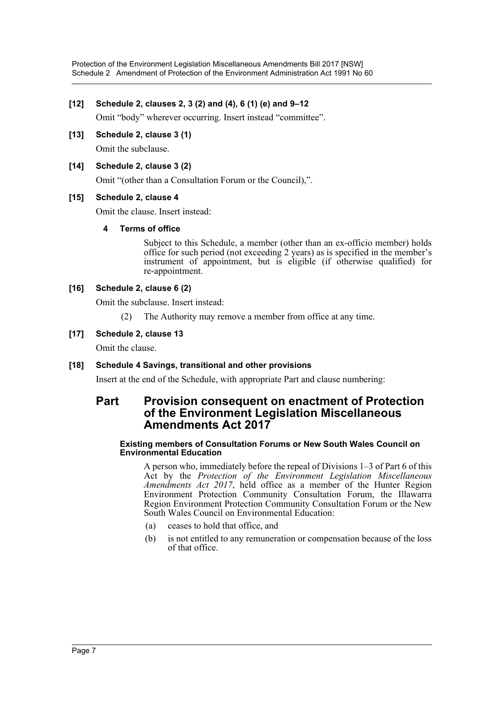# **[12] Schedule 2, clauses 2, 3 (2) and (4), 6 (1) (e) and 9–12**

Omit "body" wherever occurring. Insert instead "committee".

**[13] Schedule 2, clause 3 (1)** Omit the subclause.

# **[14] Schedule 2, clause 3 (2)**

Omit "(other than a Consultation Forum or the Council),".

#### **[15] Schedule 2, clause 4**

Omit the clause. Insert instead:

#### **4 Terms of office**

Subject to this Schedule, a member (other than an ex-officio member) holds office for such period (not exceeding 2 years) as is specified in the member's instrument of appointment, but is eligible (if otherwise qualified) for re-appointment.

#### **[16] Schedule 2, clause 6 (2)**

Omit the subclause. Insert instead:

(2) The Authority may remove a member from office at any time.

#### **[17] Schedule 2, clause 13**

Omit the clause.

#### **[18] Schedule 4 Savings, transitional and other provisions**

Insert at the end of the Schedule, with appropriate Part and clause numbering:

# **Part Provision consequent on enactment of Protection of the Environment Legislation Miscellaneous Amendments Act 2017**

#### **Existing members of Consultation Forums or New South Wales Council on Environmental Education**

A person who, immediately before the repeal of Divisions 1–3 of Part 6 of this Act by the *Protection of the Environment Legislation Miscellaneous Amendments Act 2017*, held office as a member of the Hunter Region Environment Protection Community Consultation Forum, the Illawarra Region Environment Protection Community Consultation Forum or the New South Wales Council on Environmental Education:

- (a) ceases to hold that office, and
- (b) is not entitled to any remuneration or compensation because of the loss of that office.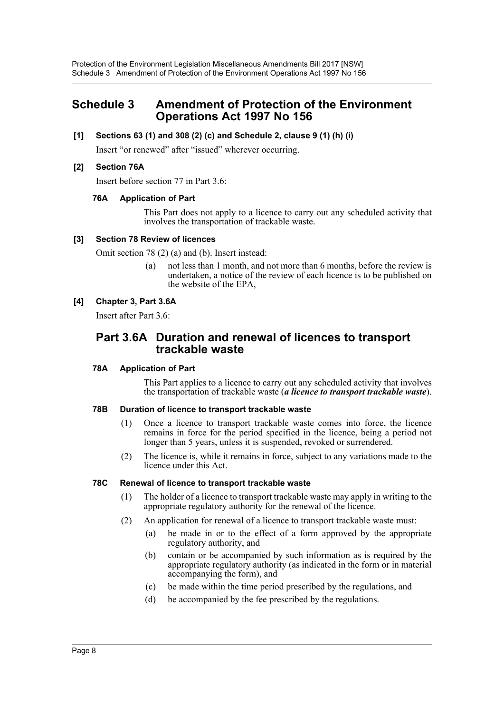# <span id="page-8-0"></span>**Schedule 3 Amendment of Protection of the Environment Operations Act 1997 No 156**

### **[1] Sections 63 (1) and 308 (2) (c) and Schedule 2, clause 9 (1) (h) (i)**

Insert "or renewed" after "issued" wherever occurring.

#### **[2] Section 76A**

Insert before section 77 in Part 3.6:

#### **76A Application of Part**

This Part does not apply to a licence to carry out any scheduled activity that involves the transportation of trackable waste.

#### **[3] Section 78 Review of licences**

Omit section 78 (2) (a) and (b). Insert instead:

(a) not less than 1 month, and not more than 6 months, before the review is undertaken, a notice of the review of each licence is to be published on the website of the EPA,

#### **[4] Chapter 3, Part 3.6A**

Insert after Part 3.6:

# **Part 3.6A Duration and renewal of licences to transport trackable waste**

#### **78A Application of Part**

This Part applies to a licence to carry out any scheduled activity that involves the transportation of trackable waste (*a licence to transport trackable waste*).

#### **78B Duration of licence to transport trackable waste**

- (1) Once a licence to transport trackable waste comes into force, the licence remains in force for the period specified in the licence, being a period not longer than 5 years, unless it is suspended, revoked or surrendered.
- (2) The licence is, while it remains in force, subject to any variations made to the licence under this Act.

#### **78C Renewal of licence to transport trackable waste**

- (1) The holder of a licence to transport trackable waste may apply in writing to the appropriate regulatory authority for the renewal of the licence.
- (2) An application for renewal of a licence to transport trackable waste must:
	- (a) be made in or to the effect of a form approved by the appropriate regulatory authority, and
	- (b) contain or be accompanied by such information as is required by the appropriate regulatory authority (as indicated in the form or in material accompanying the form), and
	- (c) be made within the time period prescribed by the regulations, and
	- (d) be accompanied by the fee prescribed by the regulations.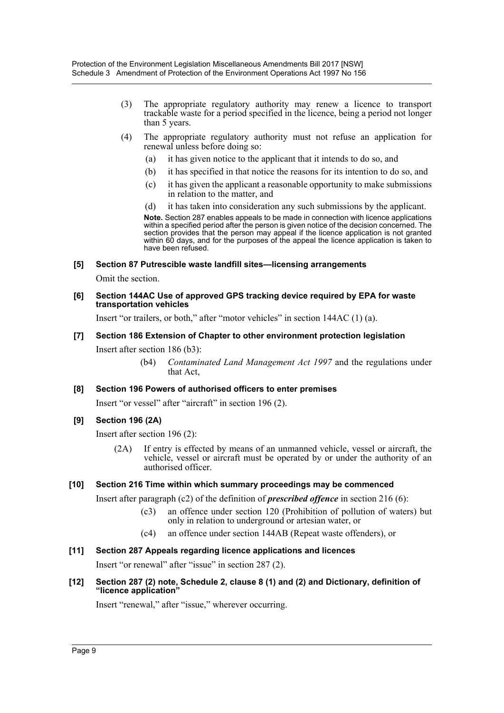- (3) The appropriate regulatory authority may renew a licence to transport trackable waste for a period specified in the licence, being a period not longer than 5 years.
- (4) The appropriate regulatory authority must not refuse an application for renewal unless before doing so:
	- (a) it has given notice to the applicant that it intends to do so, and
	- (b) it has specified in that notice the reasons for its intention to do so, and
	- (c) it has given the applicant a reasonable opportunity to make submissions in relation to the matter, and
	- (d) it has taken into consideration any such submissions by the applicant.

**Note.** Section 287 enables appeals to be made in connection with licence applications within a specified period after the person is given notice of the decision concerned. The section provides that the person may appeal if the licence application is not granted within 60 days, and for the purposes of the appeal the licence application is taken to have been refused.

#### **[5] Section 87 Putrescible waste landfill sites—licensing arrangements**

Omit the section.

#### **[6] Section 144AC Use of approved GPS tracking device required by EPA for waste transportation vehicles**

Insert "or trailers, or both," after "motor vehicles" in section 144AC (1) (a).

#### **[7] Section 186 Extension of Chapter to other environment protection legislation**

Insert after section 186 (b3):

(b4) *Contaminated Land Management Act 1997* and the regulations under that Act,

#### **[8] Section 196 Powers of authorised officers to enter premises**

Insert "or vessel" after "aircraft" in section 196 (2).

#### **[9] Section 196 (2A)**

Insert after section 196 (2):

(2A) If entry is effected by means of an unmanned vehicle, vessel or aircraft, the vehicle, vessel or aircraft must be operated by or under the authority of an authorised officer.

#### **[10] Section 216 Time within which summary proceedings may be commenced**

Insert after paragraph (c2) of the definition of *prescribed offence* in section 216 (6):

- (c3) an offence under section 120 (Prohibition of pollution of waters) but only in relation to underground or artesian water, or
- (c4) an offence under section 144AB (Repeat waste offenders), or

#### **[11] Section 287 Appeals regarding licence applications and licences**

Insert "or renewal" after "issue" in section 287 (2).

#### **[12] Section 287 (2) note, Schedule 2, clause 8 (1) and (2) and Dictionary, definition of "licence application"**

Insert "renewal," after "issue," wherever occurring.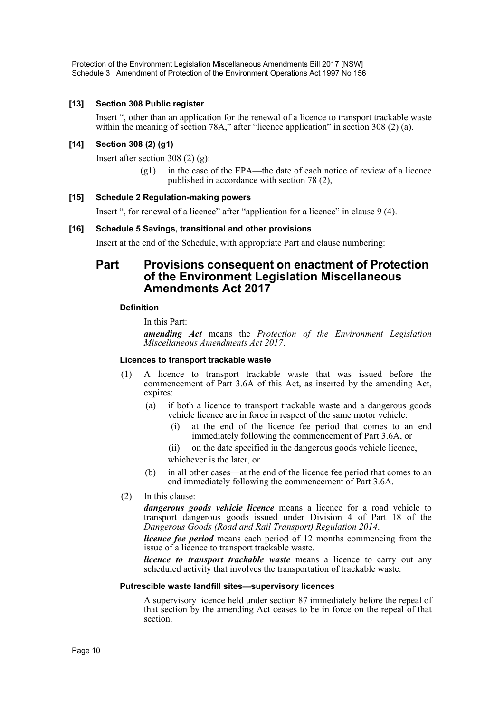Protection of the Environment Legislation Miscellaneous Amendments Bill 2017 [NSW] Schedule 3 Amendment of Protection of the Environment Operations Act 1997 No 156

#### **[13] Section 308 Public register**

Insert ", other than an application for the renewal of a licence to transport trackable waste within the meaning of section 78A," after "licence application" in section 308 (2) (a).

#### **[14] Section 308 (2) (g1)**

Insert after section 308 (2) (g):

(g1) in the case of the EPA—the date of each notice of review of a licence published in accordance with section 78 (2),

#### **[15] Schedule 2 Regulation-making powers**

Insert ", for renewal of a licence" after "application for a licence" in clause 9 (4).

#### **[16] Schedule 5 Savings, transitional and other provisions**

Insert at the end of the Schedule, with appropriate Part and clause numbering:

# **Part Provisions consequent on enactment of Protection of the Environment Legislation Miscellaneous Amendments Act 2017**

#### **Definition**

In this Part:

*amending Act* means the *Protection of the Environment Legislation Miscellaneous Amendments Act 2017*.

#### **Licences to transport trackable waste**

- (1) A licence to transport trackable waste that was issued before the commencement of Part 3.6A of this Act, as inserted by the amending Act, expires:
	- (a) if both a licence to transport trackable waste and a dangerous goods vehicle licence are in force in respect of the same motor vehicle:
		- at the end of the licence fee period that comes to an end immediately following the commencement of Part 3.6A, or
		- (ii) on the date specified in the dangerous goods vehicle licence,
		- whichever is the later, or
	- (b) in all other cases—at the end of the licence fee period that comes to an end immediately following the commencement of Part 3.6A.
- (2) In this clause:

*dangerous goods vehicle licence* means a licence for a road vehicle to transport dangerous goods issued under Division 4 of Part 18 of the *Dangerous Goods (Road and Rail Transport) Regulation 2014*.

*licence fee period* means each period of 12 months commencing from the issue of a licence to transport trackable waste.

*licence to transport trackable waste* means a licence to carry out any scheduled activity that involves the transportation of trackable waste.

#### **Putrescible waste landfill sites—supervisory licences**

A supervisory licence held under section 87 immediately before the repeal of that section by the amending Act ceases to be in force on the repeal of that section.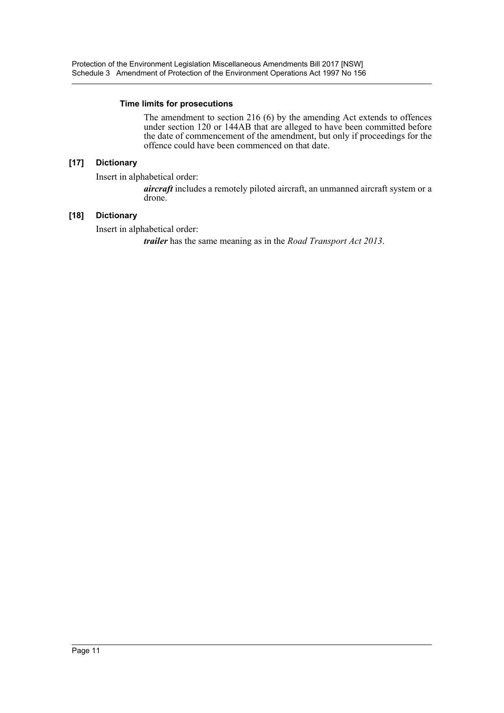#### **Time limits for prosecutions**

The amendment to section 216 (6) by the amending Act extends to offences under section 120 or 144AB that are alleged to have been committed before the date of commencement of the amendment, but only if proceedings for the offence could have been commenced on that date.

# **[17] Dictionary**

Insert in alphabetical order:

*aircraft* includes a remotely piloted aircraft, an unmanned aircraft system or a drone.

# **[18] Dictionary**

Insert in alphabetical order:

*trailer* has the same meaning as in the *Road Transport Act 2013*.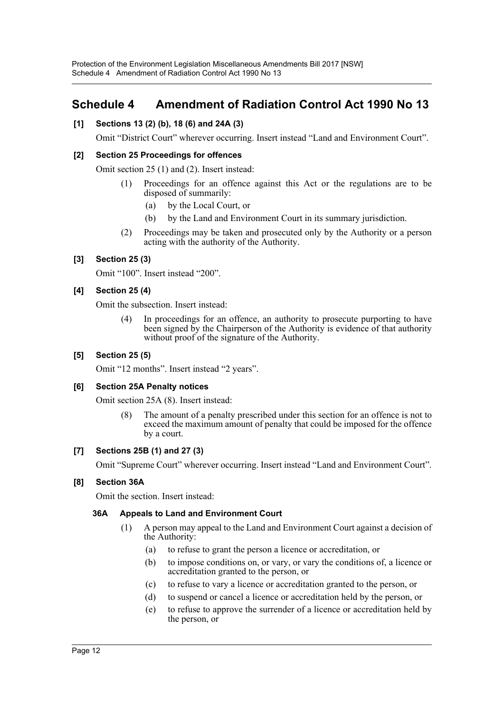# <span id="page-12-0"></span>**Schedule 4 Amendment of Radiation Control Act 1990 No 13**

# **[1] Sections 13 (2) (b), 18 (6) and 24A (3)**

Omit "District Court" wherever occurring. Insert instead "Land and Environment Court".

# **[2] Section 25 Proceedings for offences**

Omit section 25 (1) and (2). Insert instead:

- (1) Proceedings for an offence against this Act or the regulations are to be disposed of summarily:
	- (a) by the Local Court, or
	- (b) by the Land and Environment Court in its summary jurisdiction.
- (2) Proceedings may be taken and prosecuted only by the Authority or a person acting with the authority of the Authority.

# **[3] Section 25 (3)**

Omit "100". Insert instead "200".

#### **[4] Section 25 (4)**

Omit the subsection. Insert instead:

(4) In proceedings for an offence, an authority to prosecute purporting to have been signed by the Chairperson of the Authority is evidence of that authority without proof of the signature of the Authority.

#### **[5] Section 25 (5)**

Omit "12 months". Insert instead "2 years".

#### **[6] Section 25A Penalty notices**

Omit section 25A (8). Insert instead:

(8) The amount of a penalty prescribed under this section for an offence is not to exceed the maximum amount of penalty that could be imposed for the offence by a court.

# **[7] Sections 25B (1) and 27 (3)**

Omit "Supreme Court" wherever occurring. Insert instead "Land and Environment Court".

#### **[8] Section 36A**

Omit the section. Insert instead:

#### **36A Appeals to Land and Environment Court**

- (1) A person may appeal to the Land and Environment Court against a decision of the Authority:
	- (a) to refuse to grant the person a licence or accreditation, or
	- (b) to impose conditions on, or vary, or vary the conditions of, a licence or accreditation granted to the person, or
	- (c) to refuse to vary a licence or accreditation granted to the person, or
	- (d) to suspend or cancel a licence or accreditation held by the person, or
	- (e) to refuse to approve the surrender of a licence or accreditation held by the person, or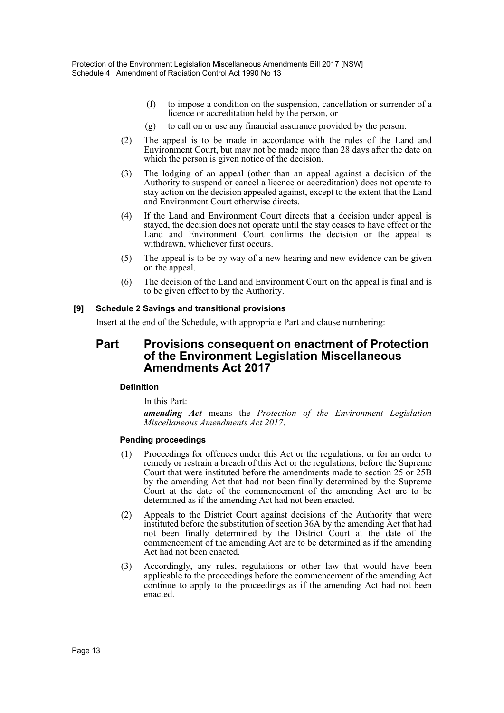- (f) to impose a condition on the suspension, cancellation or surrender of a licence or accreditation held by the person, or
- (g) to call on or use any financial assurance provided by the person.
- (2) The appeal is to be made in accordance with the rules of the Land and Environment Court, but may not be made more than 28 days after the date on which the person is given notice of the decision.
- (3) The lodging of an appeal (other than an appeal against a decision of the Authority to suspend or cancel a licence or accreditation) does not operate to stay action on the decision appealed against, except to the extent that the Land and Environment Court otherwise directs.
- (4) If the Land and Environment Court directs that a decision under appeal is stayed, the decision does not operate until the stay ceases to have effect or the Land and Environment Court confirms the decision or the appeal is withdrawn, whichever first occurs.
- (5) The appeal is to be by way of a new hearing and new evidence can be given on the appeal.
- (6) The decision of the Land and Environment Court on the appeal is final and is to be given effect to by the Authority.

# **[9] Schedule 2 Savings and transitional provisions**

Insert at the end of the Schedule, with appropriate Part and clause numbering:

# **Part Provisions consequent on enactment of Protection of the Environment Legislation Miscellaneous Amendments Act 2017**

# **Definition**

In this Part:

*amending Act* means the *Protection of the Environment Legislation Miscellaneous Amendments Act 2017*.

# **Pending proceedings**

- (1) Proceedings for offences under this Act or the regulations, or for an order to remedy or restrain a breach of this Act or the regulations, before the Supreme Court that were instituted before the amendments made to section 25 or 25B by the amending Act that had not been finally determined by the Supreme Court at the date of the commencement of the amending Act are to be determined as if the amending Act had not been enacted.
- (2) Appeals to the District Court against decisions of the Authority that were instituted before the substitution of section 36A by the amending Act that had not been finally determined by the District Court at the date of the commencement of the amending Act are to be determined as if the amending Act had not been enacted.
- (3) Accordingly, any rules, regulations or other law that would have been applicable to the proceedings before the commencement of the amending Act continue to apply to the proceedings as if the amending Act had not been enacted.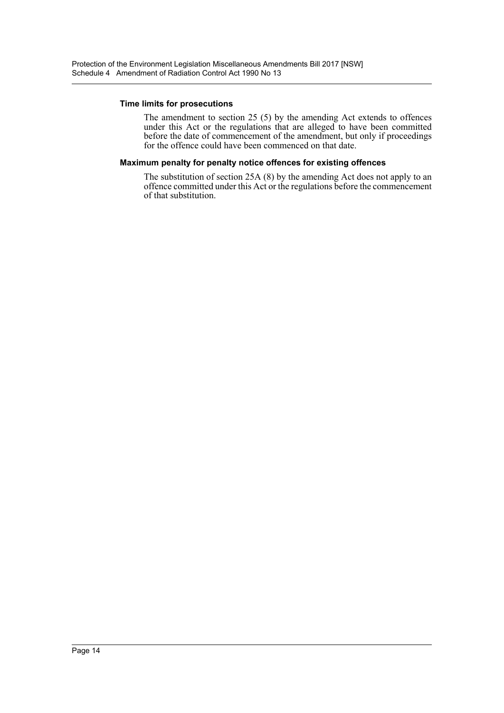#### **Time limits for prosecutions**

The amendment to section 25 (5) by the amending Act extends to offences under this Act or the regulations that are alleged to have been committed before the date of commencement of the amendment, but only if proceedings for the offence could have been commenced on that date.

#### **Maximum penalty for penalty notice offences for existing offences**

The substitution of section 25A (8) by the amending Act does not apply to an offence committed under this Act or the regulations before the commencement of that substitution.